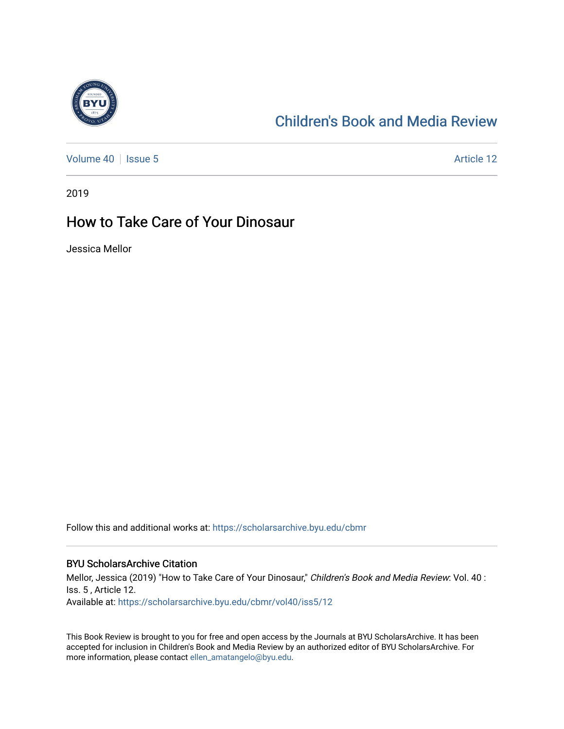

## [Children's Book and Media Review](https://scholarsarchive.byu.edu/cbmr)

[Volume 40](https://scholarsarchive.byu.edu/cbmr/vol40) | [Issue 5](https://scholarsarchive.byu.edu/cbmr/vol40/iss5) Article 12

2019

## How to Take Care of Your Dinosaur

Jessica Mellor

Follow this and additional works at: [https://scholarsarchive.byu.edu/cbmr](https://scholarsarchive.byu.edu/cbmr?utm_source=scholarsarchive.byu.edu%2Fcbmr%2Fvol40%2Fiss5%2F12&utm_medium=PDF&utm_campaign=PDFCoverPages) 

#### BYU ScholarsArchive Citation

Mellor, Jessica (2019) "How to Take Care of Your Dinosaur," Children's Book and Media Review: Vol. 40 : Iss. 5 , Article 12. Available at: [https://scholarsarchive.byu.edu/cbmr/vol40/iss5/12](https://scholarsarchive.byu.edu/cbmr/vol40/iss5/12?utm_source=scholarsarchive.byu.edu%2Fcbmr%2Fvol40%2Fiss5%2F12&utm_medium=PDF&utm_campaign=PDFCoverPages)

This Book Review is brought to you for free and open access by the Journals at BYU ScholarsArchive. It has been accepted for inclusion in Children's Book and Media Review by an authorized editor of BYU ScholarsArchive. For more information, please contact [ellen\\_amatangelo@byu.edu.](mailto:ellen_amatangelo@byu.edu)